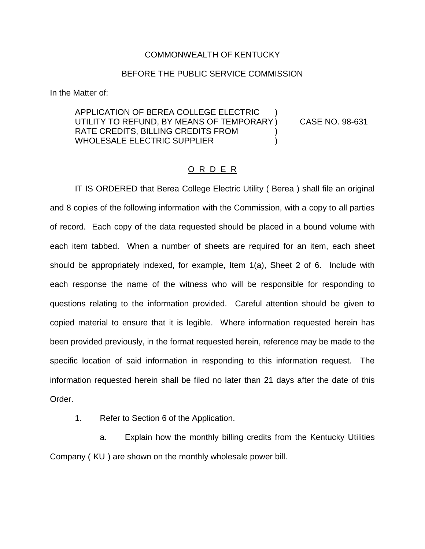## COMMONWEALTH OF KENTUCKY

## BEFORE THE PUBLIC SERVICE COMMISSION

In the Matter of:

## APPLICATION OF BEREA COLLEGE ELECTRIC ) UTILITY TO REFUND, BY MEANS OF TEMPORARY ) CASE NO. 98-631 RATE CREDITS, BILLING CREDITS FROM WHOLESALE ELECTRIC SUPPLIER (1999)

## O R D E R

IT IS ORDERED that Berea College Electric Utility ( Berea ) shall file an original and 8 copies of the following information with the Commission, with a copy to all parties of record. Each copy of the data requested should be placed in a bound volume with each item tabbed. When a number of sheets are required for an item, each sheet should be appropriately indexed, for example, Item 1(a), Sheet 2 of 6. Include with each response the name of the witness who will be responsible for responding to questions relating to the information provided. Careful attention should be given to copied material to ensure that it is legible. Where information requested herein has been provided previously, in the format requested herein, reference may be made to the specific location of said information in responding to this information request. The information requested herein shall be filed no later than 21 days after the date of this Order.

1. Refer to Section 6 of the Application.

a. Explain how the monthly billing credits from the Kentucky Utilities Company ( KU ) are shown on the monthly wholesale power bill.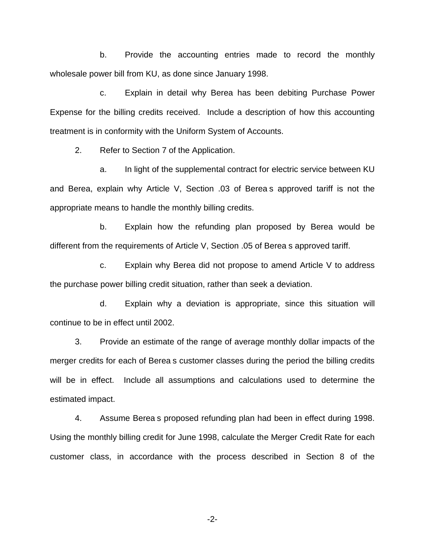b. Provide the accounting entries made to record the monthly wholesale power bill from KU, as done since January 1998.

c. Explain in detail why Berea has been debiting Purchase Power Expense for the billing credits received. Include a description of how this accounting treatment is in conformity with the Uniform System of Accounts.

2. Refer to Section 7 of the Application.

a. In light of the supplemental contract for electric service between KU and Berea, explain why Article V, Section .03 of Berea s approved tariff is not the appropriate means to handle the monthly billing credits.

b. Explain how the refunding plan proposed by Berea would be different from the requirements of Article V, Section .05 of Berea s approved tariff.

c. Explain why Berea did not propose to amend Article V to address the purchase power billing credit situation, rather than seek a deviation.

d. Explain why a deviation is appropriate, since this situation will continue to be in effect until 2002.

3. Provide an estimate of the range of average monthly dollar impacts of the merger credits for each of Berea s customer classes during the period the billing credits will be in effect. Include all assumptions and calculations used to determine the estimated impact.

4. Assume Berea s proposed refunding plan had been in effect during 1998. Using the monthly billing credit for June 1998, calculate the Merger Credit Rate for each customer class, in accordance with the process described in Section 8 of the

-2-